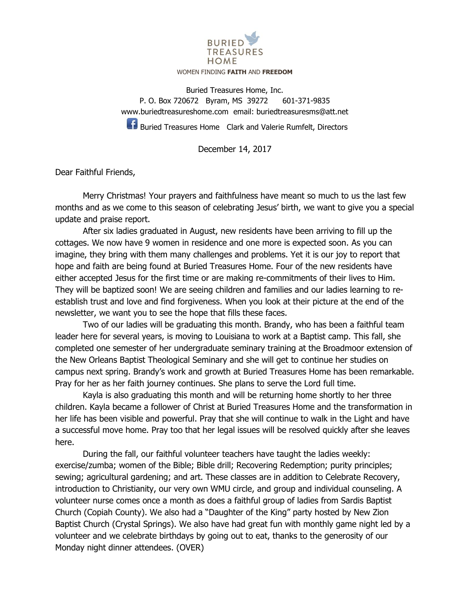

## WOMEN FINDING **FAITH** AND **FREEDOM**

Buried Treasures Home, Inc. P. O. Box 720672 Byram, MS 39272 601-371-9835 [www.buriedtreasureshome.com](http://www.buriedtreasureshome.com/) email: [buriedtreasuresms@att.net](mailto:buriedtreasuresms@att.net)

**Buried Treasures Home** Clark and Valerie Rumfelt, Directors

December 14, 2017

Dear Faithful Friends,

Merry Christmas! Your prayers and faithfulness have meant so much to us the last few months and as we come to this season of celebrating Jesus' birth, we want to give you a special update and praise report.

After six ladies graduated in August, new residents have been arriving to fill up the cottages. We now have 9 women in residence and one more is expected soon. As you can imagine, they bring with them many challenges and problems. Yet it is our joy to report that hope and faith are being found at Buried Treasures Home. Four of the new residents have either accepted Jesus for the first time or are making re-commitments of their lives to Him. They will be baptized soon! We are seeing children and families and our ladies learning to reestablish trust and love and find forgiveness. When you look at their picture at the end of the newsletter, we want you to see the hope that fills these faces.

Two of our ladies will be graduating this month. Brandy, who has been a faithful team leader here for several years, is moving to Louisiana to work at a Baptist camp. This fall, she completed one semester of her undergraduate seminary training at the Broadmoor extension of the New Orleans Baptist Theological Seminary and she will get to continue her studies on campus next spring. Brandy's work and growth at Buried Treasures Home has been remarkable. Pray for her as her faith journey continues. She plans to serve the Lord full time.

Kayla is also graduating this month and will be returning home shortly to her three children. Kayla became a follower of Christ at Buried Treasures Home and the transformation in her life has been visible and powerful. Pray that she will continue to walk in the Light and have a successful move home. Pray too that her legal issues will be resolved quickly after she leaves here.

During the fall, our faithful volunteer teachers have taught the ladies weekly: exercise/zumba; women of the Bible; Bible drill; Recovering Redemption; purity principles; sewing; agricultural gardening; and art. These classes are in addition to Celebrate Recovery, introduction to Christianity, our very own WMU circle, and group and individual counseling. A volunteer nurse comes once a month as does a faithful group of ladies from Sardis Baptist Church (Copiah County). We also had a "Daughter of the King" party hosted by New Zion Baptist Church (Crystal Springs). We also have had great fun with monthly game night led by a volunteer and we celebrate birthdays by going out to eat, thanks to the generosity of our Monday night dinner attendees. (OVER)